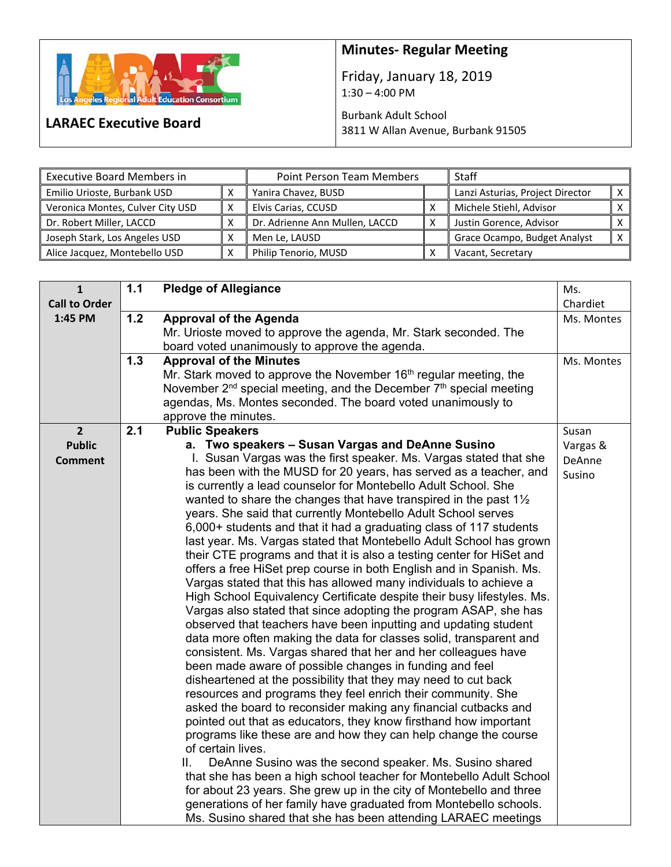

**LARAEC Executive Board** 

## **Minutes‐ Regular Meeting**

Friday, January 18, 2019  $1:30 - 4:00$  PM

Burbank Adult School 3811 W Allan Avenue, Burbank 91505

| <b>Executive Board Members in</b> | Point Person Team Members |                                | <b>Staff</b> |                                  |  |
|-----------------------------------|---------------------------|--------------------------------|--------------|----------------------------------|--|
| Emilio Urioste, Burbank USD       |                           | Yanira Chavez, BUSD            |              | Lanzi Asturias, Project Director |  |
| Veronica Montes, Culver City USD  |                           | Elvis Carias, CCUSD            |              | Michele Stiehl, Advisor          |  |
| Dr. Robert Miller, LACCD          |                           | Dr. Adrienne Ann Mullen, LACCD |              | Justin Gorence, Advisor          |  |
| Joseph Stark, Los Angeles USD     |                           | Men Le, LAUSD                  |              | Grace Ocampo, Budget Analyst     |  |
| Alice Jacquez, Montebello USD     |                           | Philip Tenorio, MUSD           |              | Vacant, Secretary                |  |

| $\mathbf{1}$         | 1.1 | <b>Pledge of Allegiance</b>                                                                                               | Ms.        |
|----------------------|-----|---------------------------------------------------------------------------------------------------------------------------|------------|
| <b>Call to Order</b> |     |                                                                                                                           | Chardiet   |
| 1:45 PM              | 1.2 | <b>Approval of the Agenda</b>                                                                                             | Ms. Montes |
|                      |     | Mr. Urioste moved to approve the agenda, Mr. Stark seconded. The                                                          |            |
|                      |     | board voted unanimously to approve the agenda.                                                                            |            |
|                      | 1.3 | <b>Approval of the Minutes</b>                                                                                            | Ms. Montes |
|                      |     | Mr. Stark moved to approve the November 16 <sup>th</sup> regular meeting, the                                             |            |
|                      |     | November 2 <sup>nd</sup> special meeting, and the December 7 <sup>th</sup> special meeting                                |            |
|                      |     | agendas, Ms. Montes seconded. The board voted unanimously to                                                              |            |
|                      |     | approve the minutes.                                                                                                      |            |
| $\overline{2}$       | 2.1 | <b>Public Speakers</b>                                                                                                    | Susan      |
| <b>Public</b>        |     | a. Two speakers - Susan Vargas and DeAnne Susino                                                                          | Vargas &   |
| <b>Comment</b>       |     | I. Susan Vargas was the first speaker. Ms. Vargas stated that she                                                         | DeAnne     |
|                      |     | has been with the MUSD for 20 years, has served as a teacher, and                                                         | Susino     |
|                      |     | is currently a lead counselor for Montebello Adult School. She                                                            |            |
|                      |     | wanted to share the changes that have transpired in the past $1\frac{1}{2}$                                               |            |
|                      |     | years. She said that currently Montebello Adult School serves                                                             |            |
|                      |     | 6,000+ students and that it had a graduating class of 117 students                                                        |            |
|                      |     | last year. Ms. Vargas stated that Montebello Adult School has grown                                                       |            |
|                      |     | their CTE programs and that it is also a testing center for HiSet and                                                     |            |
|                      |     | offers a free HiSet prep course in both English and in Spanish. Ms.                                                       |            |
|                      |     | Vargas stated that this has allowed many individuals to achieve a                                                         |            |
|                      |     | High School Equivalency Certificate despite their busy lifestyles. Ms.                                                    |            |
|                      |     | Vargas also stated that since adopting the program ASAP, she has                                                          |            |
|                      |     | observed that teachers have been inputting and updating student                                                           |            |
|                      |     | data more often making the data for classes solid, transparent and                                                        |            |
|                      |     | consistent. Ms. Vargas shared that her and her colleagues have<br>been made aware of possible changes in funding and feel |            |
|                      |     | disheartened at the possibility that they may need to cut back                                                            |            |
|                      |     | resources and programs they feel enrich their community. She                                                              |            |
|                      |     | asked the board to reconsider making any financial cutbacks and                                                           |            |
|                      |     | pointed out that as educators, they know firsthand how important                                                          |            |
|                      |     | programs like these are and how they can help change the course                                                           |            |
|                      |     | of certain lives.                                                                                                         |            |
|                      |     | DeAnne Susino was the second speaker. Ms. Susino shared<br>Ⅱ.                                                             |            |
|                      |     | that she has been a high school teacher for Montebello Adult School                                                       |            |
|                      |     | for about 23 years. She grew up in the city of Montebello and three                                                       |            |
|                      |     | generations of her family have graduated from Montebello schools.                                                         |            |
|                      |     | Ms. Susino shared that she has been attending LARAEC meetings                                                             |            |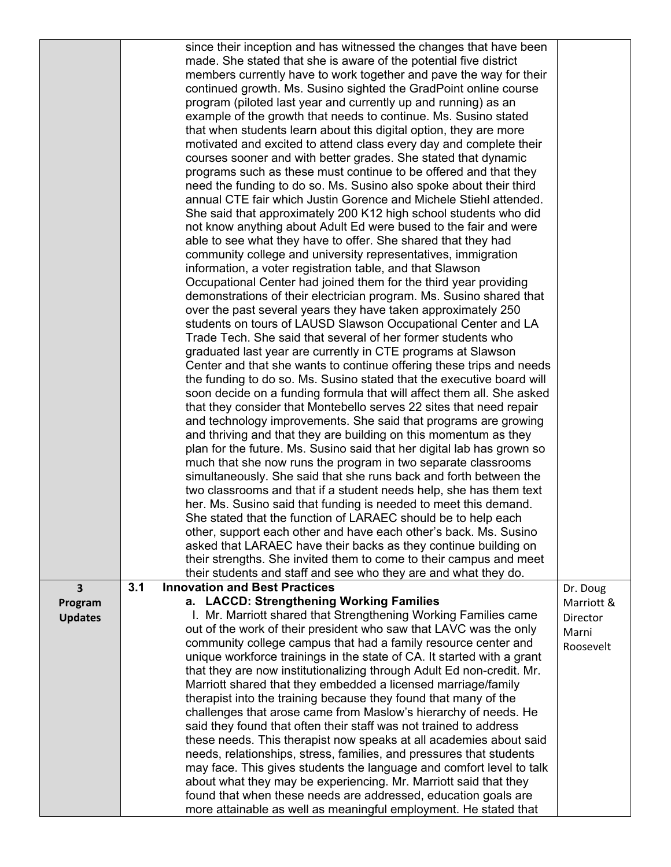|                | since their inception and has witnessed the changes that have been                                                                              |            |
|----------------|-------------------------------------------------------------------------------------------------------------------------------------------------|------------|
|                | made. She stated that she is aware of the potential five district                                                                               |            |
|                | members currently have to work together and pave the way for their                                                                              |            |
|                | continued growth. Ms. Susino sighted the GradPoint online course                                                                                |            |
|                | program (piloted last year and currently up and running) as an                                                                                  |            |
|                | example of the growth that needs to continue. Ms. Susino stated                                                                                 |            |
|                | that when students learn about this digital option, they are more                                                                               |            |
|                | motivated and excited to attend class every day and complete their                                                                              |            |
|                | courses sooner and with better grades. She stated that dynamic                                                                                  |            |
|                | programs such as these must continue to be offered and that they                                                                                |            |
|                | need the funding to do so. Ms. Susino also spoke about their third                                                                              |            |
|                | annual CTE fair which Justin Gorence and Michele Stiehl attended.                                                                               |            |
|                | She said that approximately 200 K12 high school students who did                                                                                |            |
|                | not know anything about Adult Ed were bused to the fair and were                                                                                |            |
|                | able to see what they have to offer. She shared that they had                                                                                   |            |
|                | community college and university representatives, immigration<br>information, a voter registration table, and that Slawson                      |            |
|                | Occupational Center had joined them for the third year providing                                                                                |            |
|                | demonstrations of their electrician program. Ms. Susino shared that                                                                             |            |
|                | over the past several years they have taken approximately 250                                                                                   |            |
|                | students on tours of LAUSD Slawson Occupational Center and LA                                                                                   |            |
|                | Trade Tech. She said that several of her former students who                                                                                    |            |
|                | graduated last year are currently in CTE programs at Slawson                                                                                    |            |
|                | Center and that she wants to continue offering these trips and needs                                                                            |            |
|                | the funding to do so. Ms. Susino stated that the executive board will                                                                           |            |
|                | soon decide on a funding formula that will affect them all. She asked                                                                           |            |
|                | that they consider that Montebello serves 22 sites that need repair                                                                             |            |
|                | and technology improvements. She said that programs are growing                                                                                 |            |
|                | and thriving and that they are building on this momentum as they                                                                                |            |
|                | plan for the future. Ms. Susino said that her digital lab has grown so                                                                          |            |
|                | much that she now runs the program in two separate classrooms                                                                                   |            |
|                | simultaneously. She said that she runs back and forth between the                                                                               |            |
|                | two classrooms and that if a student needs help, she has them text                                                                              |            |
|                | her. Ms. Susino said that funding is needed to meet this demand.<br>She stated that the function of LARAEC should be to help each               |            |
|                | other, support each other and have each other's back. Ms. Susino                                                                                |            |
|                | asked that LARAEC have their backs as they continue building on                                                                                 |            |
|                | their strengths. She invited them to come to their campus and meet                                                                              |            |
|                | their students and staff and see who they are and what they do.                                                                                 |            |
| 3              | 3.1<br><b>Innovation and Best Practices</b>                                                                                                     | Dr. Doug   |
| Program        | a. LACCD: Strengthening Working Families                                                                                                        | Marriott & |
| <b>Updates</b> | I. Mr. Marriott shared that Strengthening Working Families came                                                                                 | Director   |
|                | out of the work of their president who saw that LAVC was the only                                                                               | Marni      |
|                | community college campus that had a family resource center and                                                                                  | Roosevelt  |
|                | unique workforce trainings in the state of CA. It started with a grant<br>that they are now institutionalizing through Adult Ed non-credit. Mr. |            |
|                | Marriott shared that they embedded a licensed marriage/family                                                                                   |            |
|                | therapist into the training because they found that many of the                                                                                 |            |
|                | challenges that arose came from Maslow's hierarchy of needs. He                                                                                 |            |
|                | said they found that often their staff was not trained to address                                                                               |            |
|                | these needs. This therapist now speaks at all academies about said                                                                              |            |
|                | needs, relationships, stress, families, and pressures that students                                                                             |            |
|                | may face. This gives students the language and comfort level to talk                                                                            |            |
|                | about what they may be experiencing. Mr. Marriott said that they                                                                                |            |
|                | found that when these needs are addressed, education goals are<br>more attainable as well as meaningful employment. He stated that              |            |
|                |                                                                                                                                                 |            |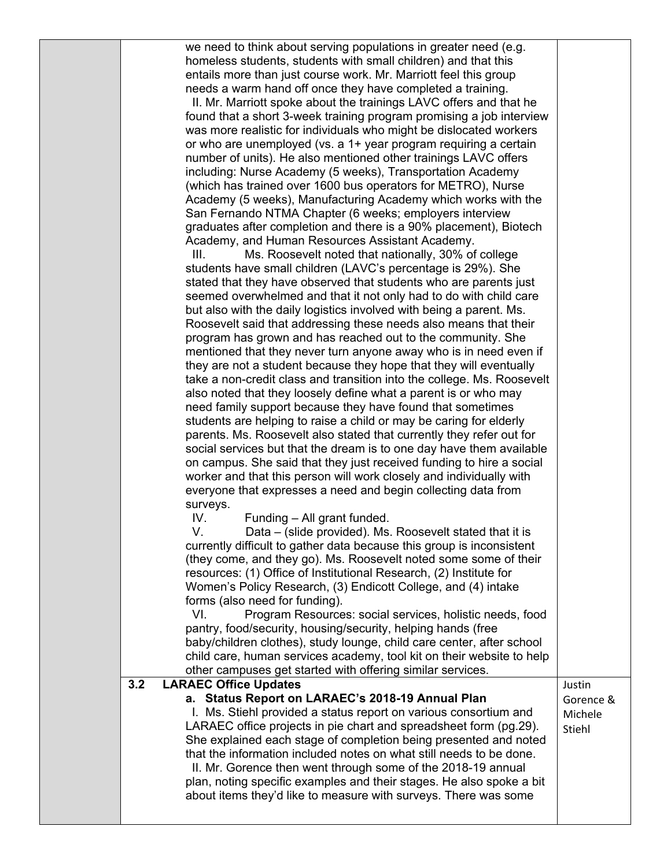we need to think about serving populations in greater need (e.g. homeless students, students with small children) and that this entails more than just course work. Mr. Marriott feel this group needs a warm hand off once they have completed a training.

II. Mr. Marriott spoke about the trainings LAVC offers and that he found that a short 3-week training program promising a job interview was more realistic for individuals who might be dislocated workers or who are unemployed (vs. a 1+ year program requiring a certain number of units). He also mentioned other trainings LAVC offers including: Nurse Academy (5 weeks), Transportation Academy (which has trained over 1600 bus operators for METRO), Nurse Academy (5 weeks), Manufacturing Academy which works with the San Fernando NTMA Chapter (6 weeks; employers interview graduates after completion and there is a 90% placement), Biotech Academy, and Human Resources Assistant Academy.

III. Ms. Roosevelt noted that nationally, 30% of college students have small children (LAVC's percentage is 29%). She stated that they have observed that students who are parents just seemed overwhelmed and that it not only had to do with child care but also with the daily logistics involved with being a parent. Ms. Roosevelt said that addressing these needs also means that their program has grown and has reached out to the community. She mentioned that they never turn anyone away who is in need even if they are not a student because they hope that they will eventually take a non-credit class and transition into the college. Ms. Roosevelt also noted that they loosely define what a parent is or who may need family support because they have found that sometimes students are helping to raise a child or may be caring for elderly parents. Ms. Roosevelt also stated that currently they refer out for social services but that the dream is to one day have them available on campus. She said that they just received funding to hire a social worker and that this person will work closely and individually with everyone that expresses a need and begin collecting data from surveys.

IV. Funding – All grant funded.

V. Data – (slide provided). Ms. Roosevelt stated that it is currently difficult to gather data because this group is inconsistent (they come, and they go). Ms. Roosevelt noted some some of their resources: (1) Office of Institutional Research, (2) Institute for Women's Policy Research, (3) Endicott College, and (4) intake forms (also need for funding).

VI. Program Resources: social services, holistic needs, food pantry, food/security, housing/security, helping hands (free baby/children clothes), study lounge, child care center, after school child care, human services academy, tool kit on their website to help

## other campuses get started with offering similar services. **3.2 LARAEC Office Updates a. Status Report on LARAEC's 2018-19 Annual Plan**  I. Ms. Stiehl provided a status report on various consortium and LARAEC office projects in pie chart and spreadsheet form (pg.29). She explained each stage of completion being presented and noted that the information included notes on what still needs to be done. II. Mr. Gorence then went through some of the 2018-19 annual plan, noting specific examples and their stages. He also spoke a bit about items they'd like to measure with surveys. There was some Justin Gorence & Michele Stiehl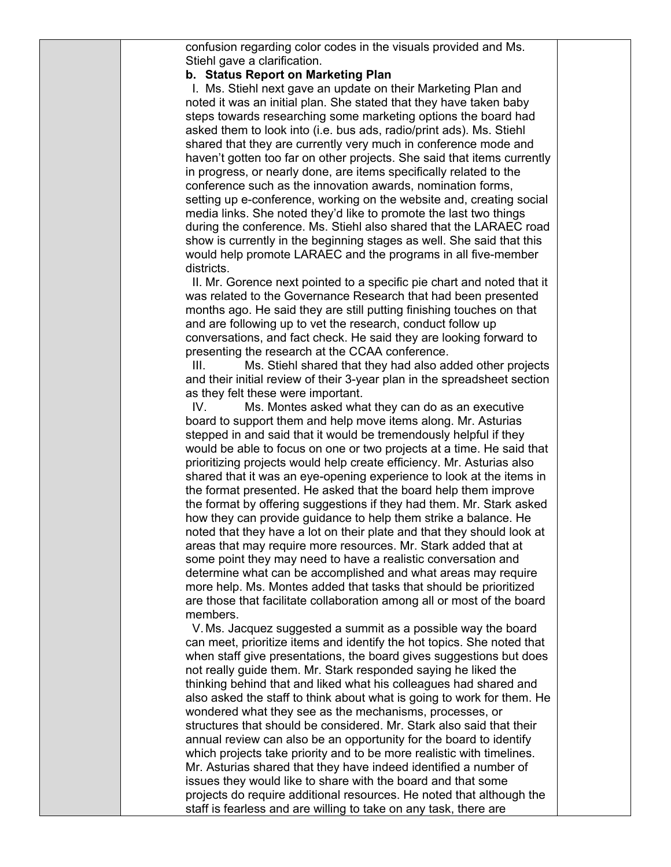confusion regarding color codes in the visuals provided and Ms. Stiehl gave a clarification.

## **b. Status Report on Marketing Plan**

I. Ms. Stiehl next gave an update on their Marketing Plan and noted it was an initial plan. She stated that they have taken baby steps towards researching some marketing options the board had asked them to look into (i.e. bus ads, radio/print ads). Ms. Stiehl shared that they are currently very much in conference mode and haven't gotten too far on other projects. She said that items currently in progress, or nearly done, are items specifically related to the conference such as the innovation awards, nomination forms, setting up e-conference, working on the website and, creating social media links. She noted they'd like to promote the last two things during the conference. Ms. Stiehl also shared that the LARAEC road show is currently in the beginning stages as well. She said that this would help promote LARAEC and the programs in all five-member districts.

II. Mr. Gorence next pointed to a specific pie chart and noted that it was related to the Governance Research that had been presented months ago. He said they are still putting finishing touches on that and are following up to vet the research, conduct follow up conversations, and fact check. He said they are looking forward to presenting the research at the CCAA conference.

III. Ms. Stiehl shared that they had also added other projects and their initial review of their 3-year plan in the spreadsheet section as they felt these were important.

IV. Ms. Montes asked what they can do as an executive board to support them and help move items along. Mr. Asturias stepped in and said that it would be tremendously helpful if they would be able to focus on one or two projects at a time. He said that prioritizing projects would help create efficiency. Mr. Asturias also shared that it was an eye-opening experience to look at the items in the format presented. He asked that the board help them improve the format by offering suggestions if they had them. Mr. Stark asked how they can provide guidance to help them strike a balance. He noted that they have a lot on their plate and that they should look at areas that may require more resources. Mr. Stark added that at some point they may need to have a realistic conversation and determine what can be accomplished and what areas may require more help. Ms. Montes added that tasks that should be prioritized are those that facilitate collaboration among all or most of the board members.

V. Ms. Jacquez suggested a summit as a possible way the board can meet, prioritize items and identify the hot topics. She noted that when staff give presentations, the board gives suggestions but does not really guide them. Mr. Stark responded saying he liked the thinking behind that and liked what his colleagues had shared and also asked the staff to think about what is going to work for them. He wondered what they see as the mechanisms, processes, or structures that should be considered. Mr. Stark also said that their annual review can also be an opportunity for the board to identify which projects take priority and to be more realistic with timelines. Mr. Asturias shared that they have indeed identified a number of issues they would like to share with the board and that some projects do require additional resources. He noted that although the staff is fearless and are willing to take on any task, there are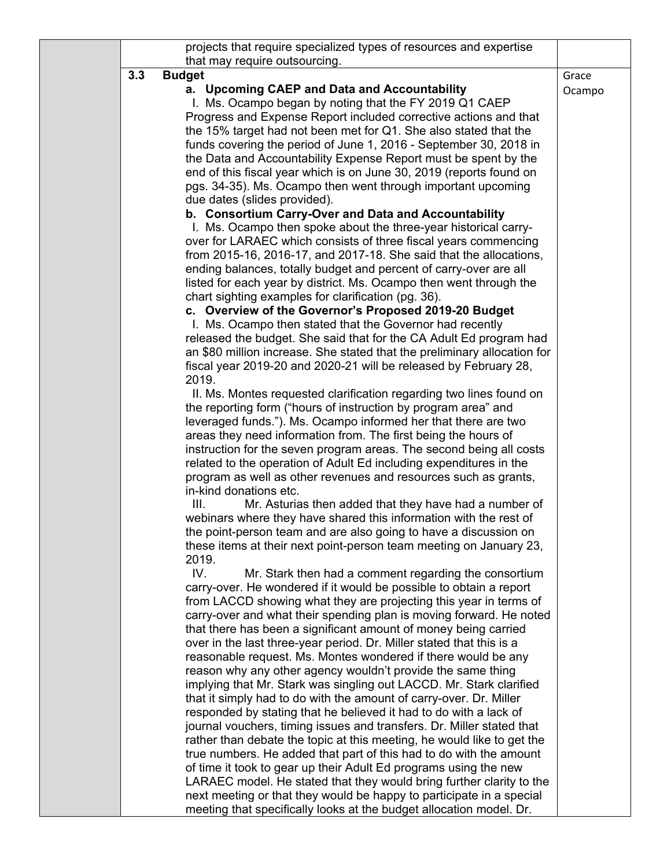|     | projects that require specialized types of resources and expertise                                                                                                                                                                                                                                                                                                                                                                                                                                                                                                                                                                                                                                                                                                                                                                                                                                                                                                                                                                                                                                                                                                                                                                                                                                                                                                                                                                                                                                                                                                                                                                                                                                                                                                                                                                                                                                                                                                                                                                                                                                                                                                                                                                                                                                                                                                                                                                                                    |                 |
|-----|-----------------------------------------------------------------------------------------------------------------------------------------------------------------------------------------------------------------------------------------------------------------------------------------------------------------------------------------------------------------------------------------------------------------------------------------------------------------------------------------------------------------------------------------------------------------------------------------------------------------------------------------------------------------------------------------------------------------------------------------------------------------------------------------------------------------------------------------------------------------------------------------------------------------------------------------------------------------------------------------------------------------------------------------------------------------------------------------------------------------------------------------------------------------------------------------------------------------------------------------------------------------------------------------------------------------------------------------------------------------------------------------------------------------------------------------------------------------------------------------------------------------------------------------------------------------------------------------------------------------------------------------------------------------------------------------------------------------------------------------------------------------------------------------------------------------------------------------------------------------------------------------------------------------------------------------------------------------------------------------------------------------------------------------------------------------------------------------------------------------------------------------------------------------------------------------------------------------------------------------------------------------------------------------------------------------------------------------------------------------------------------------------------------------------------------------------------------------------|-----------------|
| 3.3 | that may require outsourcing.<br><b>Budget</b><br>a. Upcoming CAEP and Data and Accountability<br>I. Ms. Ocampo began by noting that the FY 2019 Q1 CAEP<br>Progress and Expense Report included corrective actions and that<br>the 15% target had not been met for Q1. She also stated that the<br>funds covering the period of June 1, 2016 - September 30, 2018 in<br>the Data and Accountability Expense Report must be spent by the<br>end of this fiscal year which is on June 30, 2019 (reports found on<br>pgs. 34-35). Ms. Ocampo then went through important upcoming<br>due dates (slides provided).<br>b. Consortium Carry-Over and Data and Accountability<br>I. Ms. Ocampo then spoke about the three-year historical carry-<br>over for LARAEC which consists of three fiscal years commencing<br>from 2015-16, 2016-17, and 2017-18. She said that the allocations,<br>ending balances, totally budget and percent of carry-over are all<br>listed for each year by district. Ms. Ocampo then went through the<br>chart sighting examples for clarification (pg. 36).<br>c. Overview of the Governor's Proposed 2019-20 Budget<br>I. Ms. Ocampo then stated that the Governor had recently<br>released the budget. She said that for the CA Adult Ed program had<br>an \$80 million increase. She stated that the preliminary allocation for<br>fiscal year 2019-20 and 2020-21 will be released by February 28,<br>2019.<br>II. Ms. Montes requested clarification regarding two lines found on<br>the reporting form ("hours of instruction by program area" and<br>leveraged funds."). Ms. Ocampo informed her that there are two<br>areas they need information from. The first being the hours of<br>instruction for the seven program areas. The second being all costs<br>related to the operation of Adult Ed including expenditures in the<br>program as well as other revenues and resources such as grants,<br>in-kind donations etc.<br>Mr. Asturias then added that they have had a number of<br>III.<br>webinars where they have shared this information with the rest of<br>the point-person team and are also going to have a discussion on<br>these items at their next point-person team meeting on January 23,<br>2019.<br>IV.<br>Mr. Stark then had a comment regarding the consortium<br>carry-over. He wondered if it would be possible to obtain a report<br>from LACCD showing what they are projecting this year in terms of | Grace<br>Ocampo |
|     | carry-over and what their spending plan is moving forward. He noted<br>that there has been a significant amount of money being carried<br>over in the last three-year period. Dr. Miller stated that this is a<br>reasonable request. Ms. Montes wondered if there would be any<br>reason why any other agency wouldn't provide the same thing<br>implying that Mr. Stark was singling out LACCD. Mr. Stark clarified<br>that it simply had to do with the amount of carry-over. Dr. Miller<br>responded by stating that he believed it had to do with a lack of<br>journal vouchers, timing issues and transfers. Dr. Miller stated that<br>rather than debate the topic at this meeting, he would like to get the<br>true numbers. He added that part of this had to do with the amount<br>of time it took to gear up their Adult Ed programs using the new<br>LARAEC model. He stated that they would bring further clarity to the<br>next meeting or that they would be happy to participate in a special<br>meeting that specifically looks at the budget allocation model. Dr.                                                                                                                                                                                                                                                                                                                                                                                                                                                                                                                                                                                                                                                                                                                                                                                                                                                                                                                                                                                                                                                                                                                                                                                                                                                                                                                                                                                  |                 |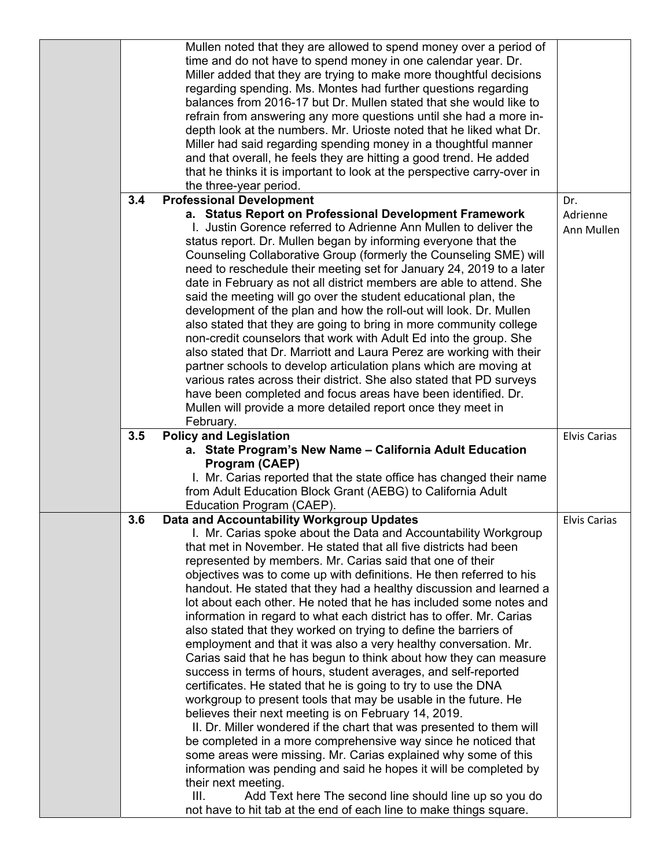|     | Mullen noted that they are allowed to spend money over a period of<br>time and do not have to spend money in one calendar year. Dr.<br>Miller added that they are trying to make more thoughtful decisions<br>regarding spending. Ms. Montes had further questions regarding<br>balances from 2016-17 but Dr. Mullen stated that she would like to<br>refrain from answering any more questions until she had a more in-<br>depth look at the numbers. Mr. Urioste noted that he liked what Dr.<br>Miller had said regarding spending money in a thoughtful manner<br>and that overall, he feels they are hitting a good trend. He added<br>that he thinks it is important to look at the perspective carry-over in<br>the three-year period.                                                                                                                                                                                                                                                                                                                                                                                                                                                                                                                                                                                                                                                                                                                         |                        |
|-----|-----------------------------------------------------------------------------------------------------------------------------------------------------------------------------------------------------------------------------------------------------------------------------------------------------------------------------------------------------------------------------------------------------------------------------------------------------------------------------------------------------------------------------------------------------------------------------------------------------------------------------------------------------------------------------------------------------------------------------------------------------------------------------------------------------------------------------------------------------------------------------------------------------------------------------------------------------------------------------------------------------------------------------------------------------------------------------------------------------------------------------------------------------------------------------------------------------------------------------------------------------------------------------------------------------------------------------------------------------------------------------------------------------------------------------------------------------------------------|------------------------|
| 3.4 | <b>Professional Development</b>                                                                                                                                                                                                                                                                                                                                                                                                                                                                                                                                                                                                                                                                                                                                                                                                                                                                                                                                                                                                                                                                                                                                                                                                                                                                                                                                                                                                                                       | Dr.                    |
|     | a. Status Report on Professional Development Framework<br>I. Justin Gorence referred to Adrienne Ann Mullen to deliver the<br>status report. Dr. Mullen began by informing everyone that the<br>Counseling Collaborative Group (formerly the Counseling SME) will<br>need to reschedule their meeting set for January 24, 2019 to a later<br>date in February as not all district members are able to attend. She<br>said the meeting will go over the student educational plan, the<br>development of the plan and how the roll-out will look. Dr. Mullen<br>also stated that they are going to bring in more community college<br>non-credit counselors that work with Adult Ed into the group. She<br>also stated that Dr. Marriott and Laura Perez are working with their<br>partner schools to develop articulation plans which are moving at<br>various rates across their district. She also stated that PD surveys<br>have been completed and focus areas have been identified. Dr.<br>Mullen will provide a more detailed report once they meet in<br>February.                                                                                                                                                                                                                                                                                                                                                                                              | Adrienne<br>Ann Mullen |
| 3.5 | <b>Policy and Legislation</b><br>a. State Program's New Name - California Adult Education<br>Program (CAEP)                                                                                                                                                                                                                                                                                                                                                                                                                                                                                                                                                                                                                                                                                                                                                                                                                                                                                                                                                                                                                                                                                                                                                                                                                                                                                                                                                           | <b>Elvis Carias</b>    |
|     | I. Mr. Carias reported that the state office has changed their name<br>from Adult Education Block Grant (AEBG) to California Adult<br>Education Program (CAEP).                                                                                                                                                                                                                                                                                                                                                                                                                                                                                                                                                                                                                                                                                                                                                                                                                                                                                                                                                                                                                                                                                                                                                                                                                                                                                                       |                        |
| 3.6 | Data and Accountability Workgroup Updates<br>I. Mr. Carias spoke about the Data and Accountability Workgroup<br>that met in November. He stated that all five districts had been<br>represented by members. Mr. Carias said that one of their<br>objectives was to come up with definitions. He then referred to his<br>handout. He stated that they had a healthy discussion and learned a<br>lot about each other. He noted that he has included some notes and<br>information in regard to what each district has to offer. Mr. Carias<br>also stated that they worked on trying to define the barriers of<br>employment and that it was also a very healthy conversation. Mr.<br>Carias said that he has begun to think about how they can measure<br>success in terms of hours, student averages, and self-reported<br>certificates. He stated that he is going to try to use the DNA<br>workgroup to present tools that may be usable in the future. He<br>believes their next meeting is on February 14, 2019.<br>II. Dr. Miller wondered if the chart that was presented to them will<br>be completed in a more comprehensive way since he noticed that<br>some areas were missing. Mr. Carias explained why some of this<br>information was pending and said he hopes it will be completed by<br>their next meeting.<br>III.<br>Add Text here The second line should line up so you do<br>not have to hit tab at the end of each line to make things square. | <b>Elvis Carias</b>    |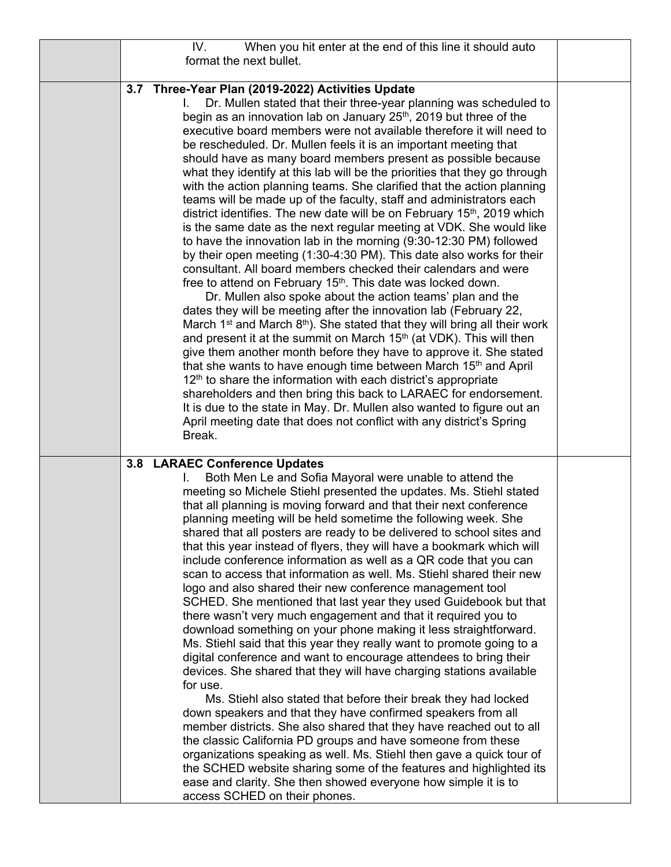|     | IV.                                               | When you hit enter at the end of this line it should auto                                                                              |  |
|-----|---------------------------------------------------|----------------------------------------------------------------------------------------------------------------------------------------|--|
|     | format the next bullet.                           |                                                                                                                                        |  |
|     |                                                   |                                                                                                                                        |  |
|     | 3.7 Three-Year Plan (2019-2022) Activities Update |                                                                                                                                        |  |
|     | L.                                                | Dr. Mullen stated that their three-year planning was scheduled to                                                                      |  |
|     |                                                   | begin as an innovation lab on January 25 <sup>th</sup> , 2019 but three of the                                                         |  |
|     |                                                   | executive board members were not available therefore it will need to                                                                   |  |
|     |                                                   | be rescheduled. Dr. Mullen feels it is an important meeting that                                                                       |  |
|     |                                                   | should have as many board members present as possible because                                                                          |  |
|     |                                                   | what they identify at this lab will be the priorities that they go through                                                             |  |
|     |                                                   | with the action planning teams. She clarified that the action planning                                                                 |  |
|     |                                                   | teams will be made up of the faculty, staff and administrators each                                                                    |  |
|     |                                                   | district identifies. The new date will be on February 15 <sup>th</sup> , 2019 which                                                    |  |
|     |                                                   | is the same date as the next regular meeting at VDK. She would like                                                                    |  |
|     |                                                   | to have the innovation lab in the morning (9:30-12:30 PM) followed                                                                     |  |
|     |                                                   | by their open meeting (1:30-4:30 PM). This date also works for their<br>consultant. All board members checked their calendars and were |  |
|     |                                                   | free to attend on February 15 <sup>th</sup> . This date was locked down.                                                               |  |
|     |                                                   | Dr. Mullen also spoke about the action teams' plan and the                                                                             |  |
|     |                                                   | dates they will be meeting after the innovation lab (February 22,                                                                      |  |
|     |                                                   | March 1 <sup>st</sup> and March $8th$ ). She stated that they will bring all their work                                                |  |
|     |                                                   | and present it at the summit on March 15 <sup>th</sup> (at VDK). This will then                                                        |  |
|     |                                                   | give them another month before they have to approve it. She stated                                                                     |  |
|     |                                                   | that she wants to have enough time between March 15 <sup>th</sup> and April                                                            |  |
|     |                                                   | 12 <sup>th</sup> to share the information with each district's appropriate                                                             |  |
|     |                                                   | shareholders and then bring this back to LARAEC for endorsement.                                                                       |  |
|     |                                                   | It is due to the state in May. Dr. Mullen also wanted to figure out an                                                                 |  |
|     |                                                   | April meeting date that does not conflict with any district's Spring                                                                   |  |
|     | Break.                                            |                                                                                                                                        |  |
|     |                                                   |                                                                                                                                        |  |
| 3.8 | <b>LARAEC Conference Updates</b>                  |                                                                                                                                        |  |
|     |                                                   | Both Men Le and Sofia Mayoral were unable to attend the                                                                                |  |
|     |                                                   | meeting so Michele Stiehl presented the updates. Ms. Stiehl stated                                                                     |  |
|     |                                                   | that all planning is moving forward and that their next conference                                                                     |  |
|     |                                                   | planning meeting will be held sometime the following week. She                                                                         |  |
|     |                                                   | shared that all posters are ready to be delivered to school sites and                                                                  |  |
|     |                                                   | that this year instead of flyers, they will have a bookmark which will                                                                 |  |
|     |                                                   | include conference information as well as a QR code that you can                                                                       |  |
|     |                                                   | scan to access that information as well. Ms. Stiehl shared their new                                                                   |  |
|     |                                                   | logo and also shared their new conference management tool                                                                              |  |
|     |                                                   | SCHED. She mentioned that last year they used Guidebook but that<br>there wasn't very much engagement and that it required you to      |  |
|     |                                                   | download something on your phone making it less straightforward.                                                                       |  |
|     |                                                   | Ms. Stiehl said that this year they really want to promote going to a                                                                  |  |
|     |                                                   | digital conference and want to encourage attendees to bring their                                                                      |  |
|     |                                                   | devices. She shared that they will have charging stations available                                                                    |  |
|     | for use.                                          |                                                                                                                                        |  |
|     |                                                   | Ms. Stiehl also stated that before their break they had locked                                                                         |  |
|     |                                                   | down speakers and that they have confirmed speakers from all                                                                           |  |
|     |                                                   | member districts. She also shared that they have reached out to all                                                                    |  |
|     |                                                   | the classic California PD groups and have someone from these                                                                           |  |
|     |                                                   | organizations speaking as well. Ms. Stiehl then gave a quick tour of                                                                   |  |
|     |                                                   | the SCHED website sharing some of the features and highlighted its                                                                     |  |
|     |                                                   | ease and clarity. She then showed everyone how simple it is to                                                                         |  |
|     | access SCHED on their phones.                     |                                                                                                                                        |  |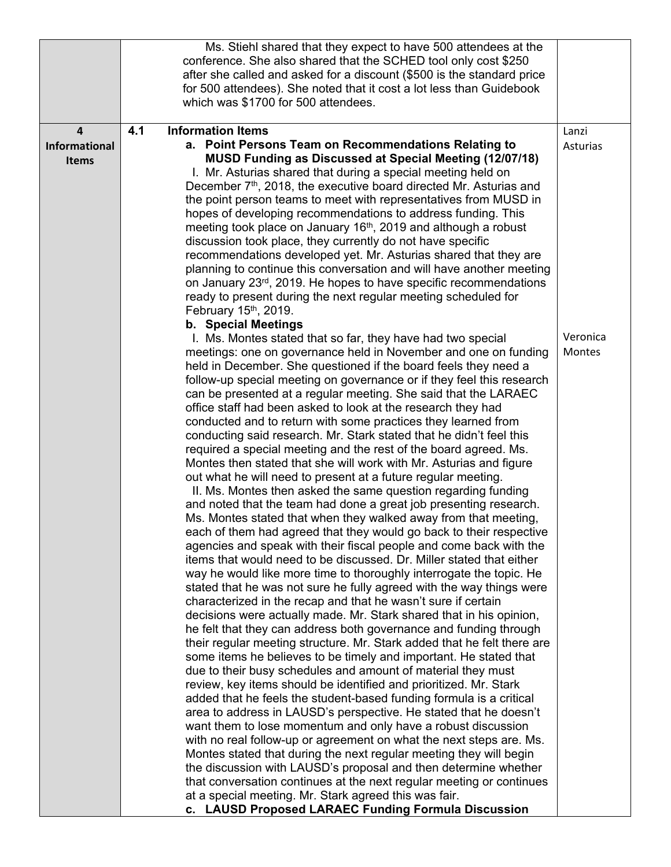|                      |     | Ms. Stiehl shared that they expect to have 500 attendees at the<br>conference. She also shared that the SCHED tool only cost \$250             |          |
|----------------------|-----|------------------------------------------------------------------------------------------------------------------------------------------------|----------|
|                      |     | after she called and asked for a discount (\$500 is the standard price<br>for 500 attendees). She noted that it cost a lot less than Guidebook |          |
|                      |     | which was \$1700 for 500 attendees.                                                                                                            |          |
| $\overline{a}$       | 4.1 | <b>Information Items</b>                                                                                                                       | Lanzi    |
| <b>Informational</b> |     | a. Point Persons Team on Recommendations Relating to<br>MUSD Funding as Discussed at Special Meeting (12/07/18)                                | Asturias |
| <b>Items</b>         |     | I. Mr. Asturias shared that during a special meeting held on                                                                                   |          |
|                      |     | December 7 <sup>th</sup> , 2018, the executive board directed Mr. Asturias and                                                                 |          |
|                      |     | the point person teams to meet with representatives from MUSD in                                                                               |          |
|                      |     | hopes of developing recommendations to address funding. This<br>meeting took place on January 16 <sup>th</sup> , 2019 and although a robust    |          |
|                      |     | discussion took place, they currently do not have specific                                                                                     |          |
|                      |     | recommendations developed yet. Mr. Asturias shared that they are                                                                               |          |
|                      |     | planning to continue this conversation and will have another meeting                                                                           |          |
|                      |     | on January 23rd, 2019. He hopes to have specific recommendations                                                                               |          |
|                      |     | ready to present during the next regular meeting scheduled for<br>February 15th, 2019.                                                         |          |
|                      |     | b. Special Meetings                                                                                                                            |          |
|                      |     | I. Ms. Montes stated that so far, they have had two special                                                                                    | Veronica |
|                      |     | meetings: one on governance held in November and one on funding                                                                                | Montes   |
|                      |     | held in December. She questioned if the board feels they need a<br>follow-up special meeting on governance or if they feel this research       |          |
|                      |     | can be presented at a regular meeting. She said that the LARAEC                                                                                |          |
|                      |     | office staff had been asked to look at the research they had                                                                                   |          |
|                      |     | conducted and to return with some practices they learned from                                                                                  |          |
|                      |     | conducting said research. Mr. Stark stated that he didn't feel this<br>required a special meeting and the rest of the board agreed. Ms.        |          |
|                      |     | Montes then stated that she will work with Mr. Asturias and figure                                                                             |          |
|                      |     | out what he will need to present at a future regular meeting.                                                                                  |          |
|                      |     | II. Ms. Montes then asked the same question regarding funding                                                                                  |          |
|                      |     | and noted that the team had done a great job presenting research.<br>Ms. Montes stated that when they walked away from that meeting,           |          |
|                      |     | each of them had agreed that they would go back to their respective                                                                            |          |
|                      |     | agencies and speak with their fiscal people and come back with the                                                                             |          |
|                      |     | items that would need to be discussed. Dr. Miller stated that either                                                                           |          |
|                      |     | way he would like more time to thoroughly interrogate the topic. He<br>stated that he was not sure he fully agreed with the way things were    |          |
|                      |     | characterized in the recap and that he wasn't sure if certain                                                                                  |          |
|                      |     | decisions were actually made. Mr. Stark shared that in his opinion,                                                                            |          |
|                      |     | he felt that they can address both governance and funding through                                                                              |          |
|                      |     | their regular meeting structure. Mr. Stark added that he felt there are                                                                        |          |
|                      |     | some items he believes to be timely and important. He stated that<br>due to their busy schedules and amount of material they must              |          |
|                      |     | review, key items should be identified and prioritized. Mr. Stark                                                                              |          |
|                      |     | added that he feels the student-based funding formula is a critical                                                                            |          |
|                      |     | area to address in LAUSD's perspective. He stated that he doesn't                                                                              |          |
|                      |     | want them to lose momentum and only have a robust discussion<br>with no real follow-up or agreement on what the next steps are. Ms.            |          |
|                      |     | Montes stated that during the next regular meeting they will begin                                                                             |          |
|                      |     | the discussion with LAUSD's proposal and then determine whether                                                                                |          |
|                      |     | that conversation continues at the next regular meeting or continues                                                                           |          |
|                      |     | at a special meeting. Mr. Stark agreed this was fair.<br>c. LAUSD Proposed LARAEC Funding Formula Discussion                                   |          |
|                      |     |                                                                                                                                                |          |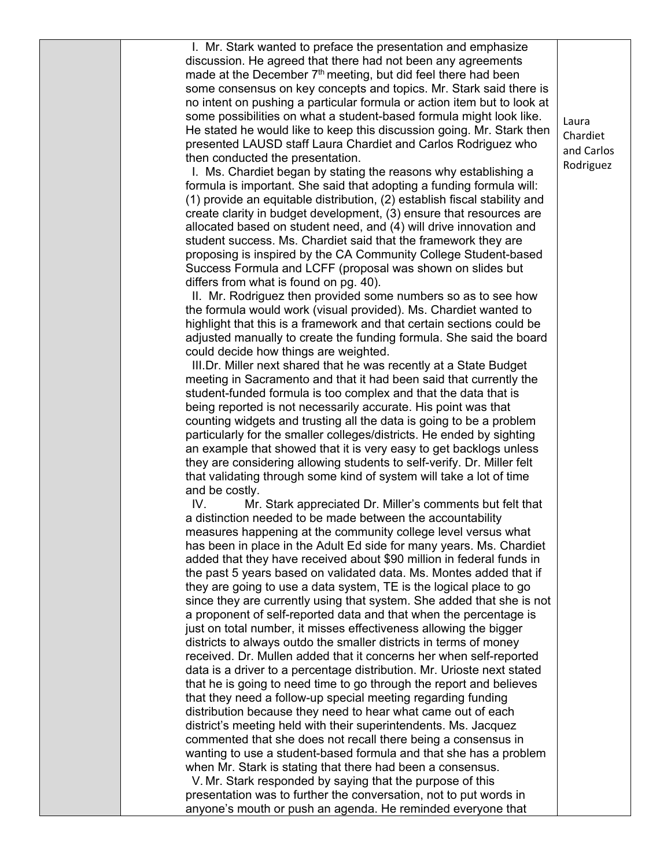I. Mr. Stark wanted to preface the presentation and emphasize discussion. He agreed that there had not been any agreements made at the December  $7<sup>th</sup>$  meeting, but did feel there had been some consensus on key concepts and topics. Mr. Stark said there is no intent on pushing a particular formula or action item but to look at some possibilities on what a student-based formula might look like. He stated he would like to keep this discussion going. Mr. Stark then presented LAUSD staff Laura Chardiet and Carlos Rodriguez who then conducted the presentation.

I. Ms. Chardiet began by stating the reasons why establishing a formula is important. She said that adopting a funding formula will: (1) provide an equitable distribution, (2) establish fiscal stability and create clarity in budget development, (3) ensure that resources are allocated based on student need, and (4) will drive innovation and student success. Ms. Chardiet said that the framework they are proposing is inspired by the CA Community College Student-based Success Formula and LCFF (proposal was shown on slides but differs from what is found on pg. 40).

II. Mr. Rodriguez then provided some numbers so as to see how the formula would work (visual provided). Ms. Chardiet wanted to highlight that this is a framework and that certain sections could be adjusted manually to create the funding formula. She said the board could decide how things are weighted.

III.Dr. Miller next shared that he was recently at a State Budget meeting in Sacramento and that it had been said that currently the student-funded formula is too complex and that the data that is being reported is not necessarily accurate. His point was that counting widgets and trusting all the data is going to be a problem particularly for the smaller colleges/districts. He ended by sighting an example that showed that it is very easy to get backlogs unless they are considering allowing students to self-verify. Dr. Miller felt that validating through some kind of system will take a lot of time and be costly.

IV. Mr. Stark appreciated Dr. Miller's comments but felt that a distinction needed to be made between the accountability measures happening at the community college level versus what has been in place in the Adult Ed side for many years. Ms. Chardiet added that they have received about \$90 million in federal funds in the past 5 years based on validated data. Ms. Montes added that if they are going to use a data system, TE is the logical place to go since they are currently using that system. She added that she is not a proponent of self-reported data and that when the percentage is just on total number, it misses effectiveness allowing the bigger districts to always outdo the smaller districts in terms of money received. Dr. Mullen added that it concerns her when self-reported data is a driver to a percentage distribution. Mr. Urioste next stated that he is going to need time to go through the report and believes that they need a follow-up special meeting regarding funding distribution because they need to hear what came out of each district's meeting held with their superintendents. Ms. Jacquez commented that she does not recall there being a consensus in wanting to use a student-based formula and that she has a problem when Mr. Stark is stating that there had been a consensus.

V. Mr. Stark responded by saying that the purpose of this presentation was to further the conversation, not to put words in anyone's mouth or push an agenda. He reminded everyone that Laura Chardiet and Carlos Rodriguez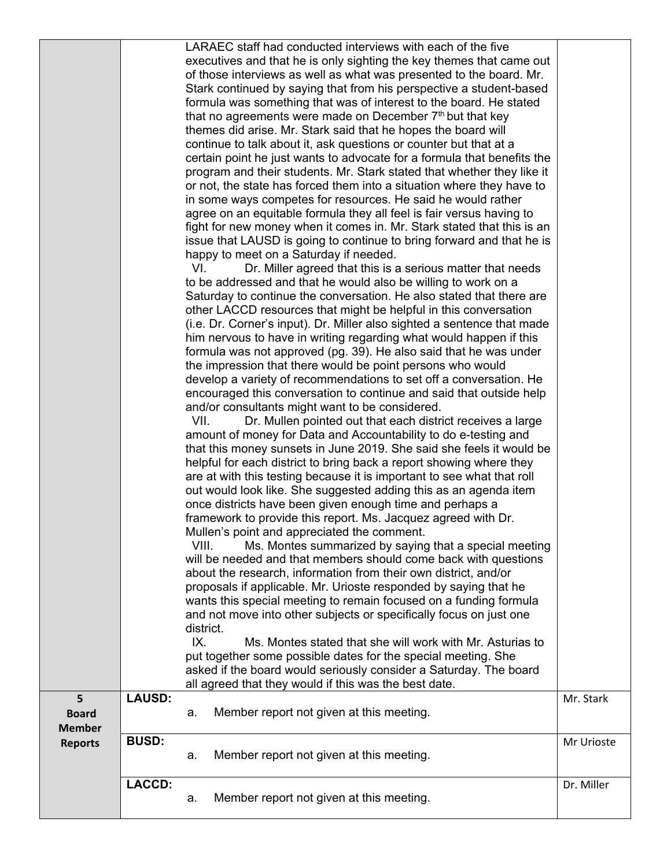|                |               | LARAEC staff had conducted interviews with each of the five                                                                                |            |
|----------------|---------------|--------------------------------------------------------------------------------------------------------------------------------------------|------------|
|                |               | executives and that he is only sighting the key themes that came out                                                                       |            |
|                |               | of those interviews as well as what was presented to the board. Mr.<br>Stark continued by saying that from his perspective a student-based |            |
|                |               | formula was something that was of interest to the board. He stated                                                                         |            |
|                |               | that no agreements were made on December 7th but that key                                                                                  |            |
|                |               | themes did arise. Mr. Stark said that he hopes the board will                                                                              |            |
|                |               | continue to talk about it, ask questions or counter but that at a                                                                          |            |
|                |               | certain point he just wants to advocate for a formula that benefits the                                                                    |            |
|                |               | program and their students. Mr. Stark stated that whether they like it                                                                     |            |
|                |               | or not, the state has forced them into a situation where they have to                                                                      |            |
|                |               | in some ways competes for resources. He said he would rather                                                                               |            |
|                |               | agree on an equitable formula they all feel is fair versus having to                                                                       |            |
|                |               | fight for new money when it comes in. Mr. Stark stated that this is an                                                                     |            |
|                |               | issue that LAUSD is going to continue to bring forward and that he is                                                                      |            |
|                |               | happy to meet on a Saturday if needed.                                                                                                     |            |
|                |               | VI.<br>Dr. Miller agreed that this is a serious matter that needs                                                                          |            |
|                |               | to be addressed and that he would also be willing to work on a                                                                             |            |
|                |               | Saturday to continue the conversation. He also stated that there are                                                                       |            |
|                |               | other LACCD resources that might be helpful in this conversation                                                                           |            |
|                |               | (i.e. Dr. Corner's input). Dr. Miller also sighted a sentence that made                                                                    |            |
|                |               | him nervous to have in writing regarding what would happen if this                                                                         |            |
|                |               | formula was not approved (pg. 39). He also said that he was under                                                                          |            |
|                |               | the impression that there would be point persons who would                                                                                 |            |
|                |               | develop a variety of recommendations to set off a conversation. He<br>encouraged this conversation to continue and said that outside help  |            |
|                |               | and/or consultants might want to be considered.                                                                                            |            |
|                |               | VII.<br>Dr. Mullen pointed out that each district receives a large                                                                         |            |
|                |               | amount of money for Data and Accountability to do e-testing and                                                                            |            |
|                |               | that this money sunsets in June 2019. She said she feels it would be                                                                       |            |
|                |               | helpful for each district to bring back a report showing where they                                                                        |            |
|                |               | are at with this testing because it is important to see what that roll                                                                     |            |
|                |               | out would look like. She suggested adding this as an agenda item                                                                           |            |
|                |               | once districts have been given enough time and perhaps a                                                                                   |            |
|                |               | framework to provide this report. Ms. Jacquez agreed with Dr.                                                                              |            |
|                |               | Mullen's point and appreciated the comment.                                                                                                |            |
|                |               | VIII.<br>Ms. Montes summarized by saying that a special meeting                                                                            |            |
|                |               | will be needed and that members should come back with questions                                                                            |            |
|                |               | about the research, information from their own district, and/or                                                                            |            |
|                |               | proposals if applicable. Mr. Urioste responded by saying that he                                                                           |            |
|                |               | wants this special meeting to remain focused on a funding formula                                                                          |            |
|                |               | and not move into other subjects or specifically focus on just one                                                                         |            |
|                |               | district.                                                                                                                                  |            |
|                |               | IX.<br>Ms. Montes stated that she will work with Mr. Asturias to                                                                           |            |
|                |               | put together some possible dates for the special meeting. She                                                                              |            |
|                |               | asked if the board would seriously consider a Saturday. The board<br>all agreed that they would if this was the best date.                 |            |
| 5              | <b>LAUSD:</b> |                                                                                                                                            | Mr. Stark  |
| <b>Board</b>   |               | Member report not given at this meeting.<br>а.                                                                                             |            |
| <b>Member</b>  |               |                                                                                                                                            |            |
| <b>Reports</b> | <b>BUSD:</b>  |                                                                                                                                            | Mr Urioste |
|                |               | Member report not given at this meeting.<br>a.                                                                                             |            |
|                |               |                                                                                                                                            |            |
|                | <b>LACCD:</b> |                                                                                                                                            | Dr. Miller |
|                |               | Member report not given at this meeting.<br>a.                                                                                             |            |
|                |               |                                                                                                                                            |            |